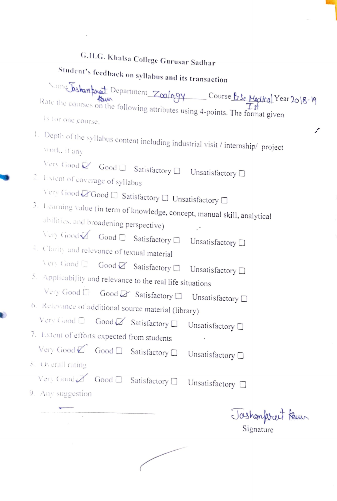|                             | G.H.G. Khalsa College Gurusar Sadhar |
|-----------------------------|--------------------------------------|
| $\mathcal{L}_{\mathcal{L}}$ |                                      |

|                                                                                                                                  |  | G.H.G. Khalsa College Gurusar Sadhar |                                                                                                                                                    |  |
|----------------------------------------------------------------------------------------------------------------------------------|--|--------------------------------------|----------------------------------------------------------------------------------------------------------------------------------------------------|--|
| Student's feedback on syllabus and its transaction                                                                               |  |                                      |                                                                                                                                                    |  |
| Is for one course.                                                                                                               |  |                                      | Vame Taskampret Department Zoology Course B1 Medical Year 2018-19<br>Rate the courses on the following attributes using 4-points. The format given |  |
| work, it any                                                                                                                     |  |                                      | ممر<br>1. Depth of the syllabus content including industrial visit / internship/ project                                                           |  |
| Very Good $\dot{\mathbb{Z}}$ Good $\square$ Satisfactory $\square$ Unsatisfactory $\square$<br>2. Extent of coverage of syllabus |  |                                      |                                                                                                                                                    |  |
| Very Good Z Good $\Box$ Satisfactory $\Box$ Unsatisfactory $\Box$                                                                |  |                                      |                                                                                                                                                    |  |
|                                                                                                                                  |  |                                      | 3. Learning value (in term of knowledge, concept, manual skill, analytical                                                                         |  |
| abilities, and broadening perspective)                                                                                           |  |                                      | $\cdot$ .                                                                                                                                          |  |
| Very Good Good C Satisfactory C Unsatisfactory C                                                                                 |  |                                      |                                                                                                                                                    |  |
| 4. Clarity and relevance of textual material                                                                                     |  |                                      |                                                                                                                                                    |  |
| Very Good C Good Z Satisfactory D Unsatisfactory D                                                                               |  |                                      |                                                                                                                                                    |  |
| 5. Applicability and relevance to the real life situations                                                                       |  |                                      |                                                                                                                                                    |  |
|                                                                                                                                  |  |                                      | Very Good $\Box$ Good $\Box$ Satisfactory $\Box$ Unsatisfactory $\Box$                                                                             |  |
| 6. Relevance of additional source material (library)                                                                             |  |                                      |                                                                                                                                                    |  |
| Very Good O Good Satisfactory O                                                                                                  |  |                                      | Unsatisfactory $\Box$                                                                                                                              |  |
| 7. Extent of efforts expected from students                                                                                      |  |                                      |                                                                                                                                                    |  |
| Very Good Good C Satisfactory C                                                                                                  |  |                                      | Unsatisfactory $\square$                                                                                                                           |  |
| 8. Overall rating                                                                                                                |  |                                      |                                                                                                                                                    |  |
| Very Good Satisfactory D                                                                                                         |  |                                      | Unsatisfactory $\square$                                                                                                                           |  |
| 9. Any suggestion                                                                                                                |  |                                      |                                                                                                                                                    |  |
|                                                                                                                                  |  |                                      | Jashonpreet Keur<br>Signature                                                                                                                      |  |

 $\mathcal{L}^{\text{max}}$  . The  $\mathcal{L}^{\text{max}}$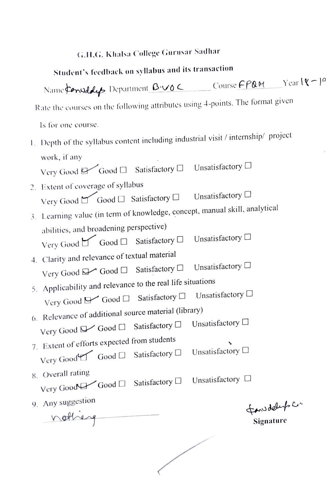## G.I.G. Khalsa College Gurusar Sadhar

| Student's feedback on syllabus and its transaction                                |                              |  |  |  |
|-----------------------------------------------------------------------------------|------------------------------|--|--|--|
| Name Considers Department B.VOC Course FPQM Yearl&-19                             |                              |  |  |  |
| Rate the courses on the following attributes using 4-points. The format given     |                              |  |  |  |
| Is for one course.                                                                |                              |  |  |  |
| 1. Depth of the syllabus content including industrial visit / internship/ project |                              |  |  |  |
| work, if any                                                                      |                              |  |  |  |
| Very Good & Good <sup>[]</sup> Satisfactory <sup>[]</sup>                         | Unsatisfactory □             |  |  |  |
| 2. Extent of coverage of syllabus                                                 |                              |  |  |  |
| Very Good I Good I Satisfactory I                                                 | Unsatisfactory $\Box$        |  |  |  |
| 3. Learning value (in term of knowledge, concept, manual skill, analytical        |                              |  |  |  |
| abilities, and broadening perspective)                                            |                              |  |  |  |
| Very Good Good C Satisfactory C                                                   | Unsatisfactory $\Box$        |  |  |  |
| 4. Clarity and relevance of textual material                                      |                              |  |  |  |
| Very Good → Good □ Satisfactory □                                                 | Unsatisfactory $\Box$        |  |  |  |
| 5. Applicability and relevance to the real life situations                        | Unsatisfactory <sup>[]</sup> |  |  |  |
| Very Good & Good & Satisfactory                                                   |                              |  |  |  |
| 6. Relevance of additional source material (library)                              | Unsatisfactory $\Box$        |  |  |  |
| Very Good ■ Good □ Satisfactory □                                                 |                              |  |  |  |
| 7. Extent of efforts expected from students                                       | Unsatisfactory $\Box$        |  |  |  |
| Very Good Good C Satisfactory C                                                   |                              |  |  |  |
| 8. Overall rating<br>Satisfactory $\Box$                                          | Unsatisfactory $\square$     |  |  |  |
| Very Good Good O                                                                  |                              |  |  |  |
| 9. Any suggestion                                                                 | fanudely c.                  |  |  |  |
| nothing                                                                           | Signature                    |  |  |  |
|                                                                                   |                              |  |  |  |
|                                                                                   |                              |  |  |  |
|                                                                                   |                              |  |  |  |
|                                                                                   |                              |  |  |  |